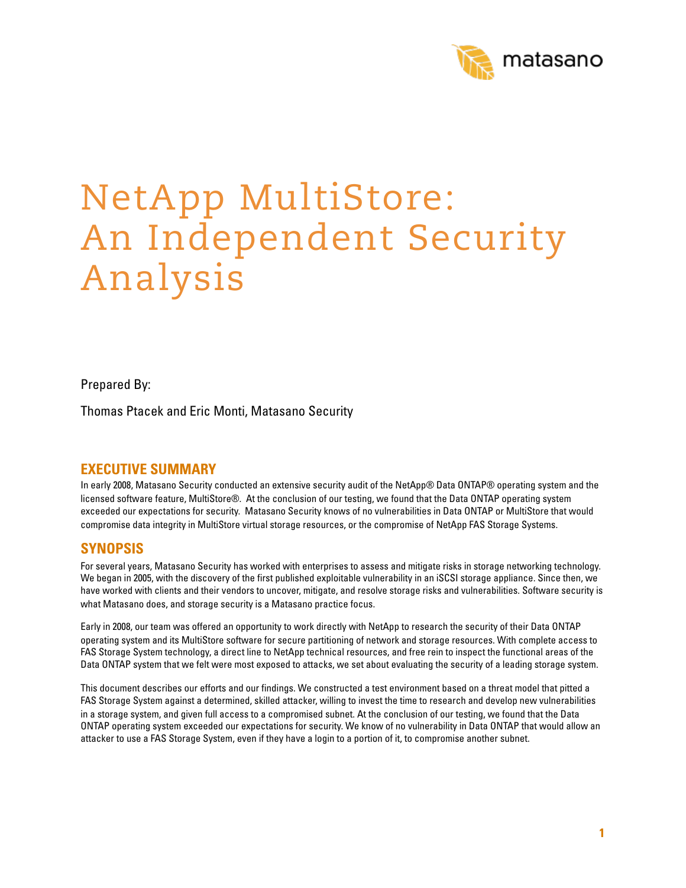

# NetApp MultiStore: An Independent Security Analysis

Prepared By:

Thomas Ptacek and Eric Monti, Matasano Security

## **EXECUTIVE SUMMARY**

In early 2008, Matasano Security conducted an extensive security audit of the NetApp® Data ONTAP® operating system and the licensed software feature, MultiStore®. At the conclusion of our testing, we found that the Data ONTAP operating system exceeded our expectations for security. Matasano Security knows of no vulnerabilities in Data ONTAP or MultiStore that would compromise data integrity in MultiStore virtual storage resources, or the compromise of NetApp FAS Storage Systems.

## **SYNOPSIS**

For several years, Matasano Security has worked with enterprises to assess and mitigate risks in storage networking technology. We began in 2005, with the discovery of the first published exploitable vulnerability in an iSCSI storage appliance. Since then, we have worked with clients and their vendors to uncover, mitigate, and resolve storage risks and vulnerabilities. Software security is what Matasano does, and storage security is a Matasano practice focus.

Early in 2008, our team was offered an opportunity to work directly with NetApp to research the security of their Data ONTAP operating system and its MultiStore software for secure partitioning of network and storage resources. With complete access to FAS Storage System technology, a direct line to NetApp technical resources, and free rein to inspect the functional areas of the Data ONTAP system that we felt were most exposed to attacks, we set about evaluating the security of a leading storage system.

This document describes our efforts and our findings. We constructed a test environment based on a threat model that pitted a FAS Storage System against a determined, skilled attacker, willing to invest the time to research and develop new vulnerabilities in a storage system, and given full access to a compromised subnet. At the conclusion of our testing, we found that the Data ONTAP operating system exceeded our expectations for security. We know of no vulnerability in Data ONTAP that would allow an attacker to use a FAS Storage System, even if they have a login to a portion of it, to compromise another subnet.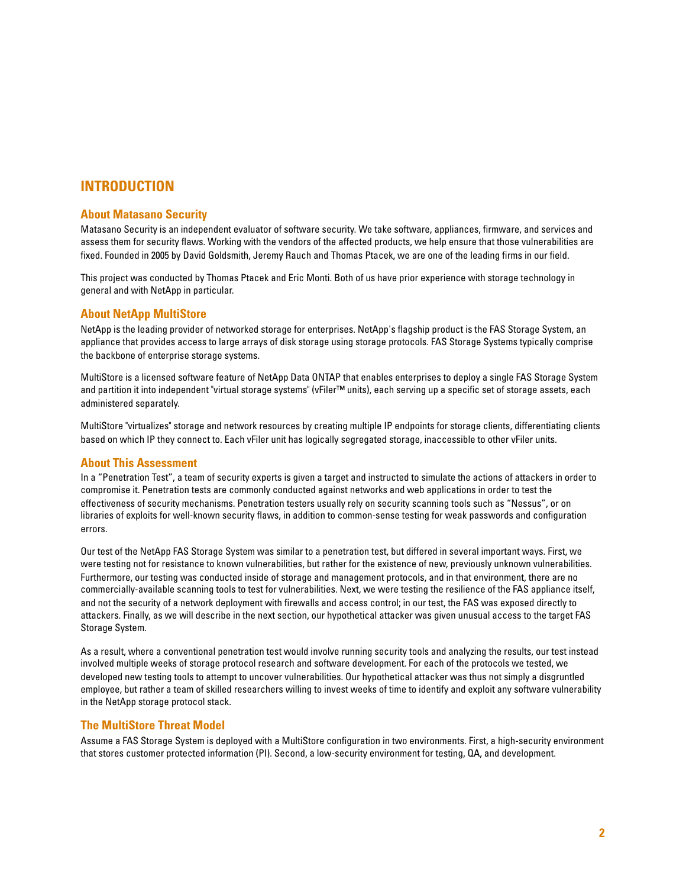## **INTRODUCTION**

#### **About Matasano Security**

Matasano Security is an independent evaluator of software security. We take software, appliances, firmware, and services and assess them for security flaws. Working with the vendors of the affected products, we help ensure that those vulnerabilities are fixed. Founded in 2005 by David Goldsmith, Jeremy Rauch and Thomas Ptacek, we are one of the leading firms in our field.

This project was conducted by Thomas Ptacek and Eric Monti. Both of us have prior experience with storage technology in general and with NetApp in particular.

#### **About NetApp MultiStore**

NetApp is the leading provider of networked storage for enterprises. NetApp's flagship product is the FAS Storage System, an appliance that provides access to large arrays of disk storage using storage protocols. FAS Storage Systems typically comprise the backbone of enterprise storage systems.

MultiStore is a licensed software feature of NetApp Data ONTAP that enables enterprises to deploy a single FAS Storage System and partition it into independent "virtual storage systems" (vFiler™ units), each serving up a specific set of storage assets, each administered separately.

MultiStore "virtualizes" storage and network resources by creating multiple IP endpoints for storage clients, differentiating clients based on which IP they connect to. Each vFiler unit has logically segregated storage, inaccessible to other vFiler units.

#### **About This Assessment**

In a "Penetration Test", a team of security experts is given a target and instructed to simulate the actions of attackers in order to compromise it. Penetration tests are commonly conducted against networks and web applications in order to test the effectiveness of security mechanisms. Penetration testers usually rely on security scanning tools such as "Nessus", or on libraries of exploits for well-known security flaws, in addition to common-sense testing for weak passwords and configuration errors.

Our test of the NetApp FAS Storage System was similar to a penetration test, but differed in several important ways. First, we were testing not for resistance to known vulnerabilities, but rather for the existence of new, previously unknown vulnerabilities. Furthermore, our testing was conducted inside of storage and management protocols, and in that environment, there are no commercially-available scanning tools to test for vulnerabilities. Next, we were testing the resilience of the FAS appliance itself, and not the security of a network deployment with firewalls and access control; in our test, the FAS was exposed directly to attackers. Finally, as we will describe in the next section, our hypothetical attacker was given unusual access to the target FAS Storage System.

As a result, where a conventional penetration test would involve running security tools and analyzing the results, our test instead involved multiple weeks of storage protocol research and software development. For each of the protocols we tested, we developed new testing tools to attempt to uncover vulnerabilities. Our hypothetical attacker was thus not simply a disgruntled employee, but rather a team of skilled researchers willing to invest weeks of time to identify and exploit any software vulnerability in the NetApp storage protocol stack.

#### **The MultiStore Threat Model**

Assume a FAS Storage System is deployed with a MultiStore configuration in two environments. First, a high-security environment that stores customer protected information (PI). Second, a low-security environment for testing, QA, and development.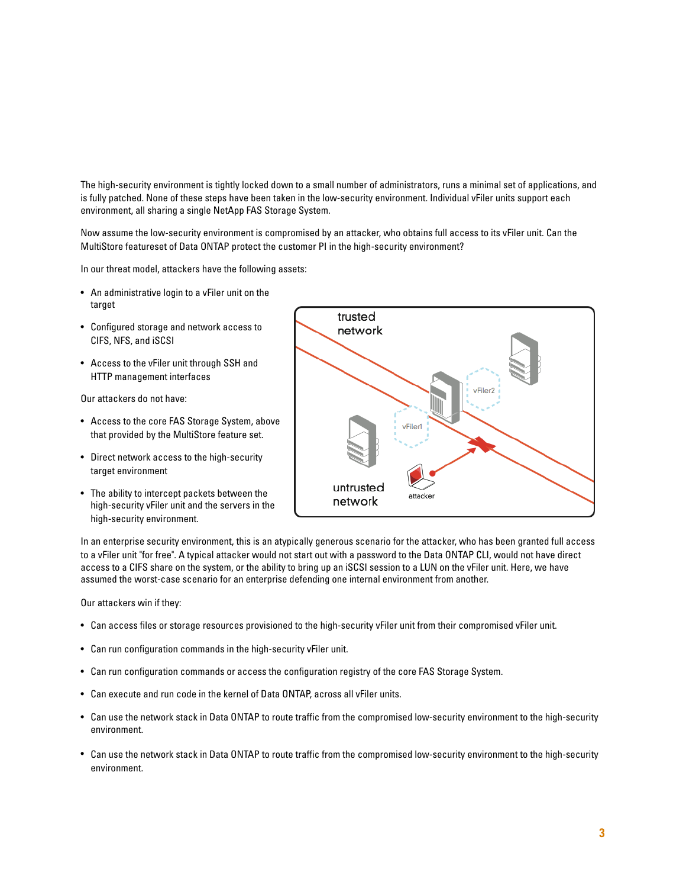The high-security environment is tightly locked down to a small number of administrators, runs a minimal set of applications, and is fully patched. None of these steps have been taken in the low-security environment. Individual vFiler units support each environment, all sharing a single NetApp FAS Storage System.

Now assume the low-security environment is compromised by an attacker, who obtains full access to its vFiler unit. Can the MultiStore featureset of Data ONTAP protect the customer PI in the high-security environment?

In our threat model, attackers have the following assets:

- An administrative login to a vFiler unit on the target
- Configured storage and network access to CIFS, NFS, and iSCSI
- Access to the vFiler unit through SSH and HTTP management interfaces

Our attackers do not have:

- Access to the core FAS Storage System, above that provided by the MultiStore feature set.
- Direct network access to the high-security target environment
- The ability to intercept packets between the high-security vFiler unit and the servers in the high-security environment.



In an enterprise security environment, this is an atypically generous scenario for the attacker, who has been granted full access to a vFiler unit "for free". A typical attacker would not start out with a password to the Data ONTAP CLI, would not have direct access to a CIFS share on the system, or the ability to bring up an iSCSI session to a LUN on the vFiler unit. Here, we have assumed the worst-case scenario for an enterprise defending one internal environment from another.

Our attackers win if they:

- Can access files or storage resources provisioned to the high-security vFiler unit from their compromised vFiler unit.
- Can run configuration commands in the high-security vFiler unit.
- Can run configuration commands or access the configuration registry of the core FAS Storage System.
- Can execute and run code in the kernel of Data ONTAP, across all vFiler units.
- Can use the network stack in Data ONTAP to route traffic from the compromised low-security environment to the high-security environment.
- Can use the network stack in Data ONTAP to route traffic from the compromised low-security environment to the high-security environment.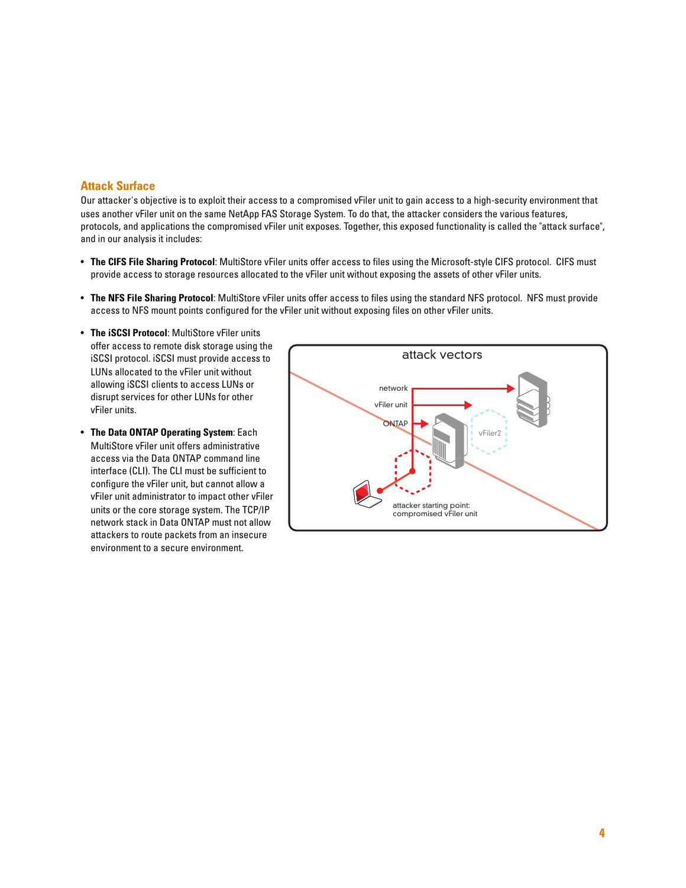#### **Attack Surface**

Our attacker's objective is to exploit their access to a compromised vFiler unit to gain access to a high-security environment that uses another vFiler unit on the same NetApp FAS Storage System. To do that, the attacker considers the various features, protocols, and applications the compromised vFiler unit exposes. Together, this exposed functionality is called the "attack surface", and in our analysis it includes:

- **The CIFS File Sharing Protocol**: MultiStore vFiler units offer access to files using the Microsoft-style CIFS protocol. CIFS must provide access to storage resources allocated to the vFiler unit without exposing the assets of other vFiler units.
- **The NFS File Sharing Protocol**: MultiStore vFiler units offer access to files using the standard NFS protocol. NFS must provide access to NFS mount points configured for the vFiler unit without exposing files on other vFiler units.
- **The iSCSI Protocol**: MultiStore vFiler units offer access to remote disk storage using the iSCSI protocol. iSCSI must provide access to LUNs allocated to the vFiler unit without allowing iSCSI clients to access LUNs or disrupt services for other LUNs for other vFiler units.
- **The Data ONTAP Operating System**: Each MultiStore vFiler unit offers administrative access via the Data ONTAP command line interface (CLI). The CLI must be sufficient to configure the vFiler unit, but cannot allow a vFiler unit administrator to impact other vFiler units or the core storage system. The TCP/IP network stack in Data ONTAP must not allow attackers to route packets from an insecure environment to a secure environment.

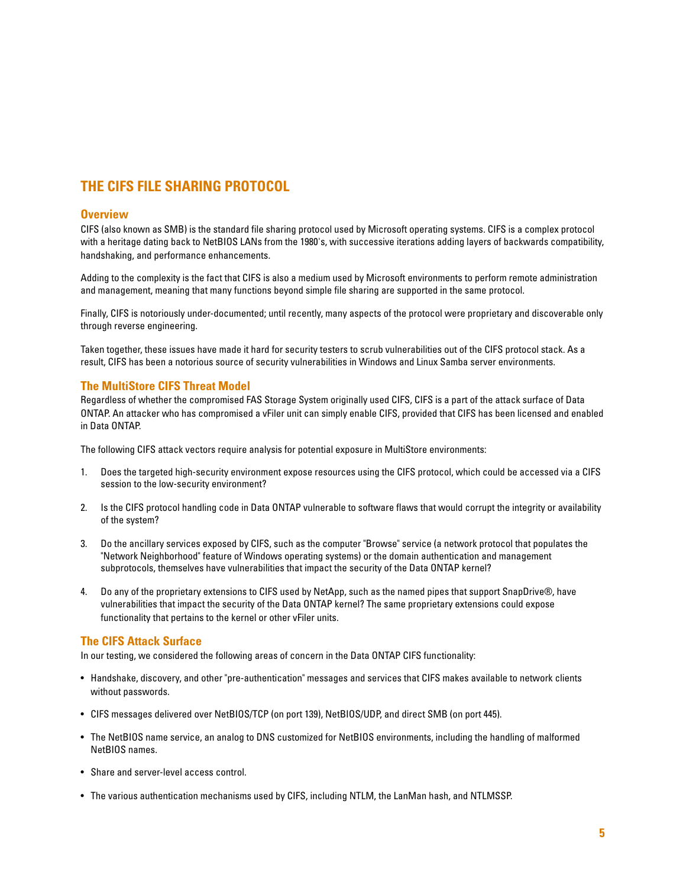# **THE CIFS FILE SHARING PROTOCOL**

#### **Overview**

CIFS (also known as SMB) is the standard file sharing protocol used by Microsoft operating systems. CIFS is a complex protocol with a heritage dating back to NetBIOS LANs from the 1980's, with successive iterations adding layers of backwards compatibility, handshaking, and performance enhancements.

Adding to the complexity is the fact that CIFS is also a medium used by Microsoft environments to perform remote administration and management, meaning that many functions beyond simple file sharing are supported in the same protocol.

Finally, CIFS is notoriously under-documented; until recently, many aspects of the protocol were proprietary and discoverable only through reverse engineering.

Taken together, these issues have made it hard for security testers to scrub vulnerabilities out of the CIFS protocol stack. As a result, CIFS has been a notorious source of security vulnerabilities in Windows and Linux Samba server environments.

#### **The MultiStore CIFS Threat Model**

Regardless of whether the compromised FAS Storage System originally used CIFS, CIFS is a part of the attack surface of Data ONTAP. An attacker who has compromised a vFiler unit can simply enable CIFS, provided that CIFS has been licensed and enabled in Data ONTAP.

The following CIFS attack vectors require analysis for potential exposure in MultiStore environments:

- 1. Does the targeted high-security environment expose resources using the CIFS protocol, which could be accessed via a CIFS session to the low-security environment?
- 2. Is the CIFS protocol handling code in Data ONTAP vulnerable to software flaws that would corrupt the integrity or availability of the system?
- 3. Do the ancillary services exposed by CIFS, such as the computer "Browse" service (a network protocol that populates the "Network Neighborhood" feature of Windows operating systems) or the domain authentication and management subprotocols, themselves have vulnerabilities that impact the security of the Data ONTAP kernel?
- 4. Do any of the proprietary extensions to CIFS used by NetApp, such as the named pipes that support SnapDrive®, have vulnerabilities that impact the security of the Data ONTAP kernel? The same proprietary extensions could expose functionality that pertains to the kernel or other vFiler units.

#### **The CIFS Attack Surface**

In our testing, we considered the following areas of concern in the Data ONTAP CIFS functionality:

- Handshake, discovery, and other "pre-authentication" messages and services that CIFS makes available to network clients without passwords.
- CIFS messages delivered over NetBIOS/TCP (on port 139), NetBIOS/UDP, and direct SMB (on port 445).
- The NetBIOS name service, an analog to DNS customized for NetBIOS environments, including the handling of malformed NetBIOS names.
- Share and server-level access control.
- The various authentication mechanisms used by CIFS, including NTLM, the LanMan hash, and NTLMSSP.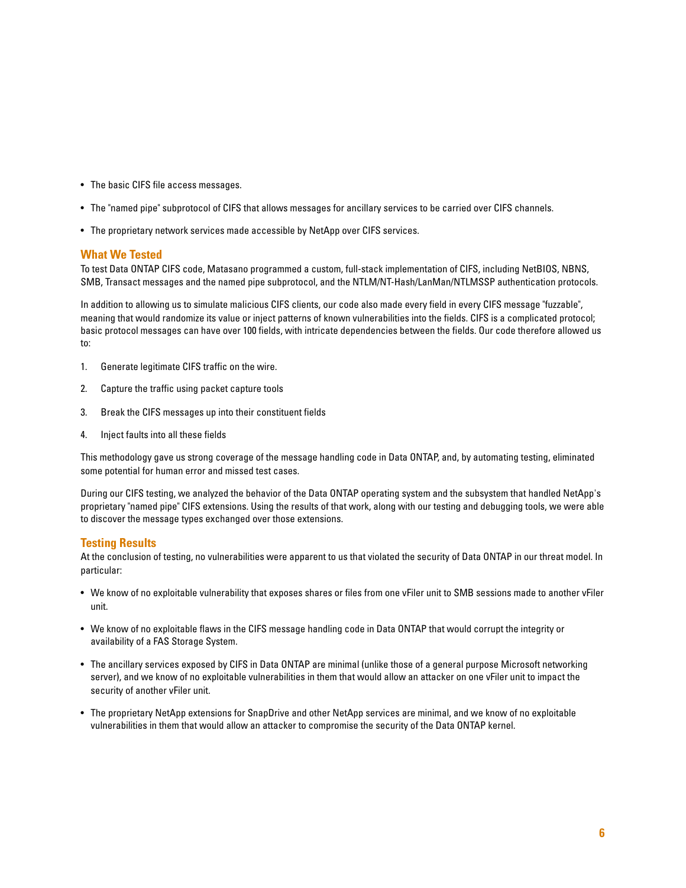- The basic CIFS file access messages.
- The "named pipe" subprotocol of CIFS that allows messages for ancillary services to be carried over CIFS channels.
- The proprietary network services made accessible by NetApp over CIFS services.

#### **What We Tested**

To test Data ONTAP CIFS code, Matasano programmed a custom, full-stack implementation of CIFS, including NetBIOS, NBNS, SMB, Transact messages and the named pipe subprotocol, and the NTLM/NT-Hash/LanMan/NTLMSSP authentication protocols.

In addition to allowing us to simulate malicious CIFS clients, our code also made every field in every CIFS message "fuzzable", meaning that would randomize its value or inject patterns of known vulnerabilities into the fields. CIFS is a complicated protocol; basic protocol messages can have over 100 fields, with intricate dependencies between the fields. Our code therefore allowed us to:

- 1. Generate legitimate CIFS traffic on the wire.
- 2. Capture the traffic using packet capture tools
- 3. Break the CIFS messages up into their constituent fields
- 4. Inject faults into all these fields

This methodology gave us strong coverage of the message handling code in Data ONTAP, and, by automating testing, eliminated some potential for human error and missed test cases.

During our CIFS testing, we analyzed the behavior of the Data ONTAP operating system and the subsystem that handled NetApp's proprietary "named pipe" CIFS extensions. Using the results of that work, along with our testing and debugging tools, we were able to discover the message types exchanged over those extensions.

#### **Testing Results**

- We know of no exploitable vulnerability that exposes shares or files from one vFiler unit to SMB sessions made to another vFiler unit.
- We know of no exploitable flaws in the CIFS message handling code in Data ONTAP that would corrupt the integrity or availability of a FAS Storage System.
- The ancillary services exposed by CIFS in Data ONTAP are minimal (unlike those of a general purpose Microsoft networking server), and we know of no exploitable vulnerabilities in them that would allow an attacker on one vFiler unit to impact the security of another vFiler unit.
- The proprietary NetApp extensions for SnapDrive and other NetApp services are minimal, and we know of no exploitable vulnerabilities in them that would allow an attacker to compromise the security of the Data ONTAP kernel.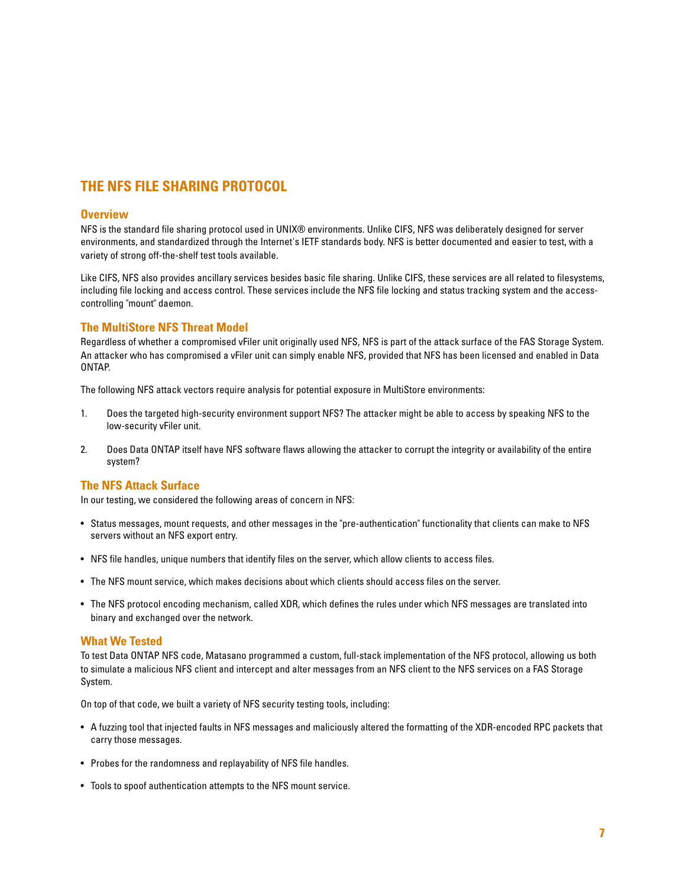# **THE NFS FILE SHARING PROTOCOL**

#### **Overview**

NFS is the standard file sharing protocol used in UNIX® environments. Unlike CIFS, NFS was deliberately designed for server environments, and standardized through the Internet's IETF standards body. NFS is better documented and easier to test, with a variety of strong off-the-shelf test tools available.

Like CIFS, NFS also provides ancillary services besides basic file sharing. Unlike CIFS, these services are all related to filesystems, including file locking and access control. These services include the NFS file locking and status tracking system and the accesscontrolling "mount" daemon.

#### **The MultiStore NFS Threat Model**

Regardless of whether a compromised vFiler unit originally used NFS, NFS is part of the attack surface of the FAS Storage System. An attacker who has compromised a vFiler unit can simply enable NFS, provided that NFS has been licensed and enabled in Data ONTAP.

The following NFS attack vectors require analysis for potential exposure in MultiStore environments:

- 1. Does the targeted high-security environment support NFS? The attacker might be able to access by speaking NFS to the low-security vFiler unit.
- 2. Does Data ONTAP itself have NFS software flaws allowing the attacker to corrupt the integrity or availability of the entire system?

#### **The NFS Attack Surface**

In our testing, we considered the following areas of concern in NFS:

- Status messages, mount requests, and other messages in the "pre-authentication" functionality that clients can make to NFS servers without an NFS export entry.
- NFS file handles, unique numbers that identify files on the server, which allow clients to access files.
- The NFS mount service, which makes decisions about which clients should access files on the server.
- The NFS protocol encoding mechanism, called XDR, which defines the rules under which NFS messages are translated into binary and exchanged over the network.

#### **What We Tested**

To test Data ONTAP NFS code, Matasano programmed a custom, full-stack implementation of the NFS protocol, allowing us both to simulate a malicious NFS client and intercept and alter messages from an NFS client to the NFS services on a FAS Storage System.

On top of that code, we built a variety of NFS security testing tools, including:

- A fuzzing tool that injected faults in NFS messages and maliciously altered the formatting of the XDR-encoded RPC packets that carry those messages.
- Probes for the randomness and replayability of NFS file handles.
- Tools to spoof authentication attempts to the NFS mount service.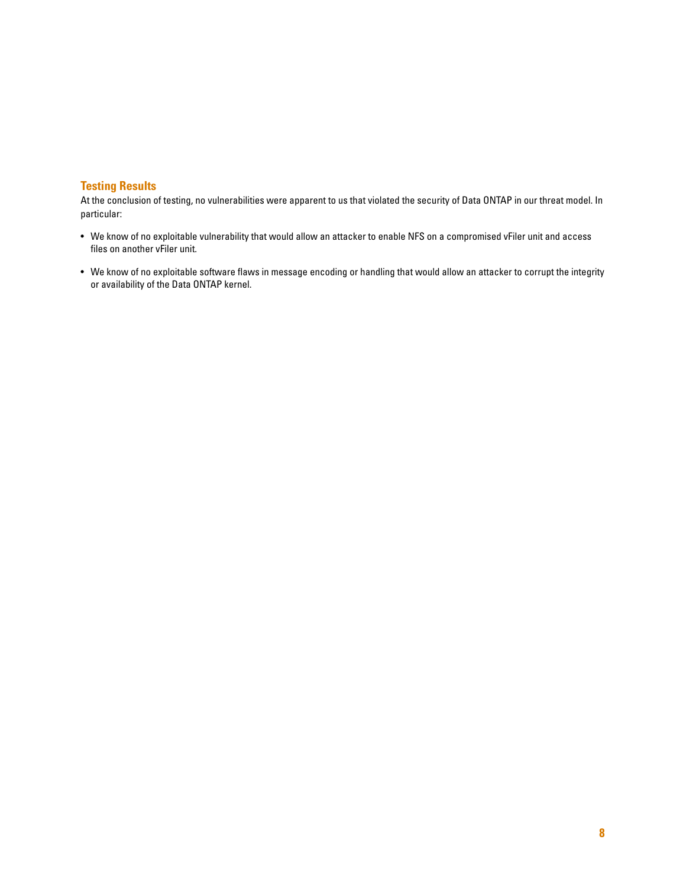#### **Testing Results**

- We know of no exploitable vulnerability that would allow an attacker to enable NFS on a compromised vFiler unit and access files on another vFiler unit.
- We know of no exploitable software flaws in message encoding or handling that would allow an attacker to corrupt the integrity or availability of the Data ONTAP kernel.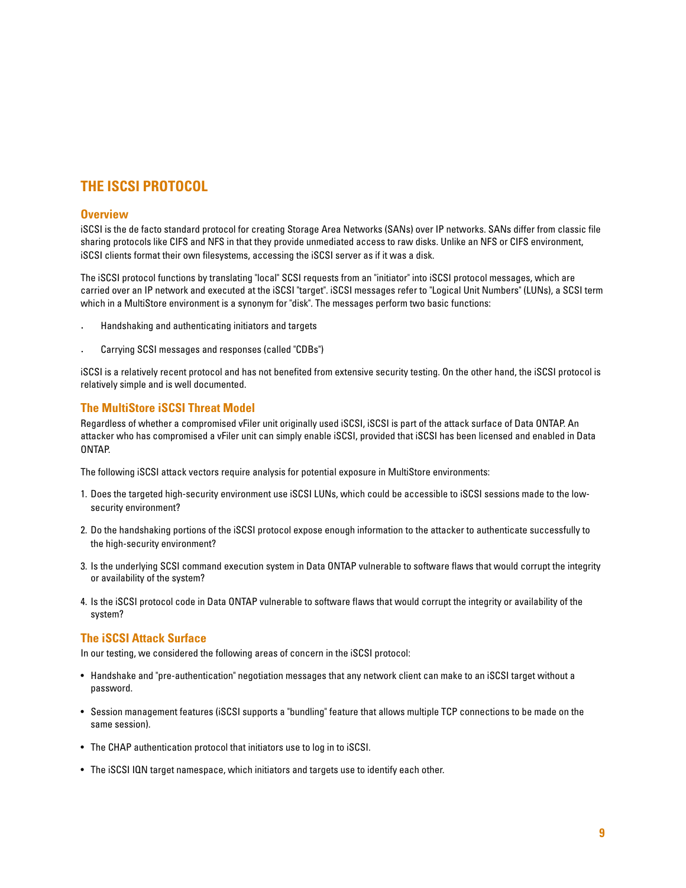## **THE ISCSI PROTOCOL**

#### **Overview**

iSCSI is the de facto standard protocol for creating Storage Area Networks (SANs) over IP networks. SANs differ from classic file sharing protocols like CIFS and NFS in that they provide unmediated access to raw disks. Unlike an NFS or CIFS environment, iSCSI clients format their own filesystems, accessing the iSCSI server as if it was a disk.

The iSCSI protocol functions by translating "local" SCSI requests from an "initiator" into iSCSI protocol messages, which are carried over an IP network and executed at the iSCSI "target". iSCSI messages refer to "Logical Unit Numbers" (LUNs), a SCSI term which in a MultiStore environment is a synonym for "disk". The messages perform two basic functions:

- · Handshaking and authenticating initiators and targets
- Carrying SCSI messages and responses (called "CDBs")

iSCSI is a relatively recent protocol and has not benefited from extensive security testing. On the other hand, the iSCSI protocol is relatively simple and is well documented.

#### **The MultiStore iSCSI Threat Model**

Regardless of whether a compromised vFiler unit originally used iSCSI, iSCSI is part of the attack surface of Data ONTAP. An attacker who has compromised a vFiler unit can simply enable iSCSI, provided that iSCSI has been licensed and enabled in Data ONTAP.

The following iSCSI attack vectors require analysis for potential exposure in MultiStore environments:

- 1. Does the targeted high-security environment use iSCSI LUNs, which could be accessible to iSCSI sessions made to the lowsecurity environment?
- 2. Do the handshaking portions of the iSCSI protocol expose enough information to the attacker to authenticate successfully to the high-security environment?
- 3. Is the underlying SCSI command execution system in Data ONTAP vulnerable to software flaws that would corrupt the integrity or availability of the system?
- 4. Is the iSCSI protocol code in Data ONTAP vulnerable to software flaws that would corrupt the integrity or availability of the system?

#### **The iSCSI Attack Surface**

In our testing, we considered the following areas of concern in the iSCSI protocol:

- Handshake and "pre-authentication" negotiation messages that any network client can make to an iSCSI target without a password.
- Session management features (iSCSI supports a "bundling" feature that allows multiple TCP connections to be made on the same session).
- The CHAP authentication protocol that initiators use to log in to iSCSI.
- The iSCSI IQN target namespace, which initiators and targets use to identify each other.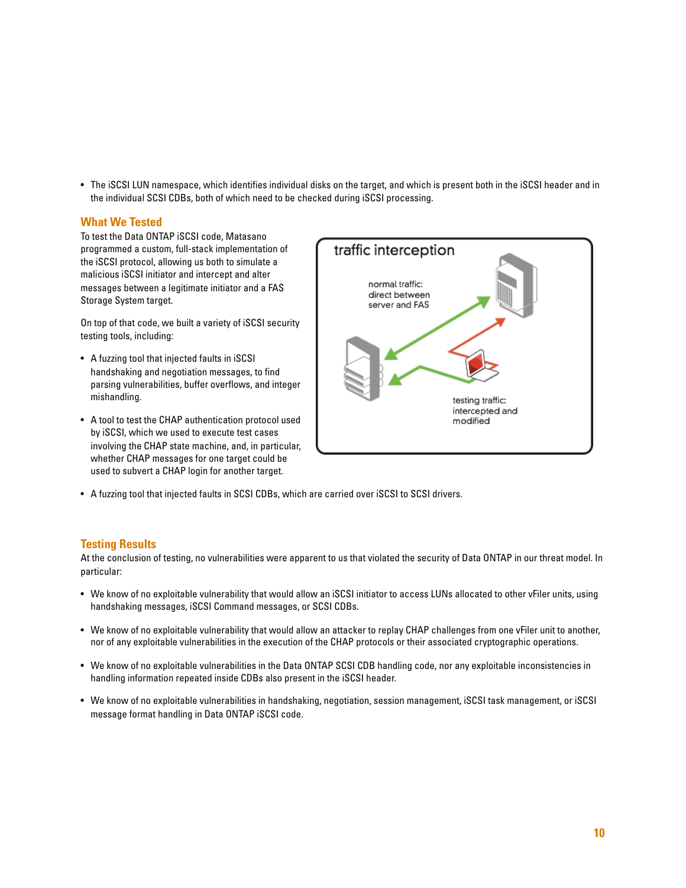• The iSCSI LUN namespace, which identifies individual disks on the target, and which is present both in the iSCSI header and in the individual SCSI CDBs, both of which need to be checked during iSCSI processing.

#### **What We Tested**

To test the Data ONTAP iSCSI code, Matasano programmed a custom, full-stack implementation of the iSCSI protocol, allowing us both to simulate a malicious iSCSI initiator and intercept and alter messages between a legitimate initiator and a FAS Storage System target.

On top of that code, we built a variety of iSCSI security testing tools, including:

- A fuzzing tool that injected faults in iSCSI handshaking and negotiation messages, to find parsing vulnerabilities, buffer overflows, and integer mishandling.
- A tool to test the CHAP authentication protocol used by iSCSI, which we used to execute test cases involving the CHAP state machine, and, in particular, whether CHAP messages for one target could be used to subvert a CHAP login for another target.



• A fuzzing tool that injected faults in SCSI CDBs, which are carried over iSCSI to SCSI drivers.

#### **Testing Results**

- We know of no exploitable vulnerability that would allow an iSCSI initiator to access LUNs allocated to other vFiler units, using handshaking messages, iSCSI Command messages, or SCSI CDBs.
- We know of no exploitable vulnerability that would allow an attacker to replay CHAP challenges from one vFiler unit to another, nor of any exploitable vulnerabilities in the execution of the CHAP protocols or their associated cryptographic operations.
- We know of no exploitable vulnerabilities in the Data ONTAP SCSI CDB handling code, nor any exploitable inconsistencies in handling information repeated inside CDBs also present in the iSCSI header.
- We know of no exploitable vulnerabilities in handshaking, negotiation, session management, iSCSI task management, or iSCSI message format handling in Data ONTAP iSCSI code.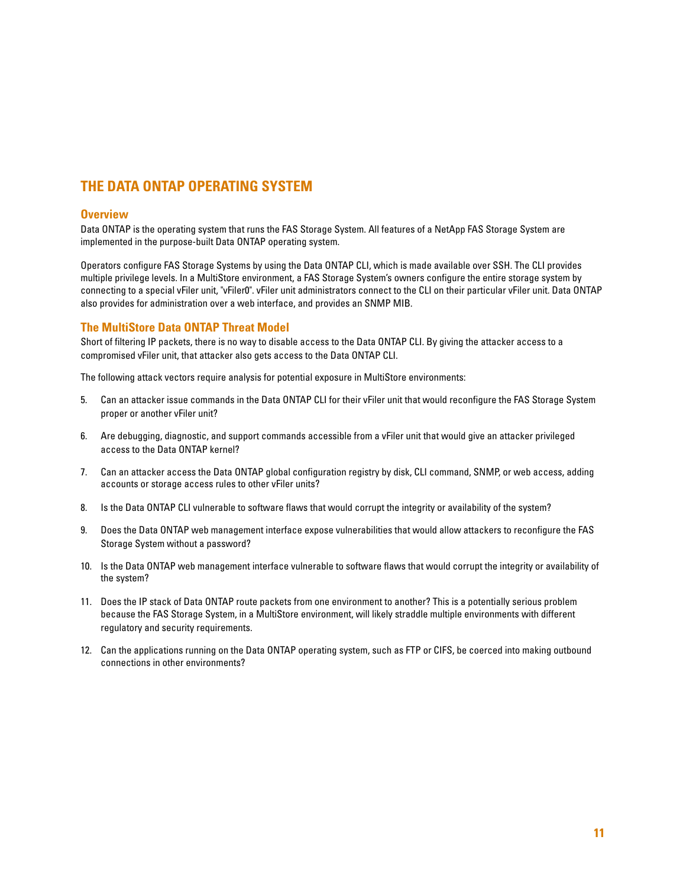# **THE DATA ONTAP OPERATING SYSTEM**

#### **Overview**

Data ONTAP is the operating system that runs the FAS Storage System. All features of a NetApp FAS Storage System are implemented in the purpose-built Data ONTAP operating system.

Operators configure FAS Storage Systems by using the Data ONTAP CLI, which is made available over SSH. The CLI provides multiple privilege levels. In a MultiStore environment, a FAS Storage System's owners configure the entire storage system by connecting to a special vFiler unit, "vFiler0". vFiler unit administrators connect to the CLI on their particular vFiler unit. Data ONTAP also provides for administration over a web interface, and provides an SNMP MIB.

#### **The MultiStore Data ONTAP Threat Model**

Short of filtering IP packets, there is no way to disable access to the Data ONTAP CLI. By giving the attacker access to a compromised vFiler unit, that attacker also gets access to the Data ONTAP CLI.

The following attack vectors require analysis for potential exposure in MultiStore environments:

- 5. Can an attacker issue commands in the Data ONTAP CLI for their vFiler unit that would reconfigure the FAS Storage System proper or another vFiler unit?
- 6. Are debugging, diagnostic, and support commands accessible from a vFiler unit that would give an attacker privileged access to the Data ONTAP kernel?
- 7. Can an attacker access the Data ONTAP global configuration registry by disk, CLI command, SNMP, or web access, adding accounts or storage access rules to other vFiler units?
- 8. Is the Data ONTAP CLI vulnerable to software flaws that would corrupt the integrity or availability of the system?
- 9. Does the Data ONTAP web management interface expose vulnerabilities that would allow attackers to reconfigure the FAS Storage System without a password?
- 10. Is the Data ONTAP web management interface vulnerable to software flaws that would corrupt the integrity or availability of the system?
- 11. Does the IP stack of Data ONTAP route packets from one environment to another? This is a potentially serious problem because the FAS Storage System, in a MultiStore environment, will likely straddle multiple environments with different regulatory and security requirements.
- 12. Can the applications running on the Data ONTAP operating system, such as FTP or CIFS, be coerced into making outbound connections in other environments?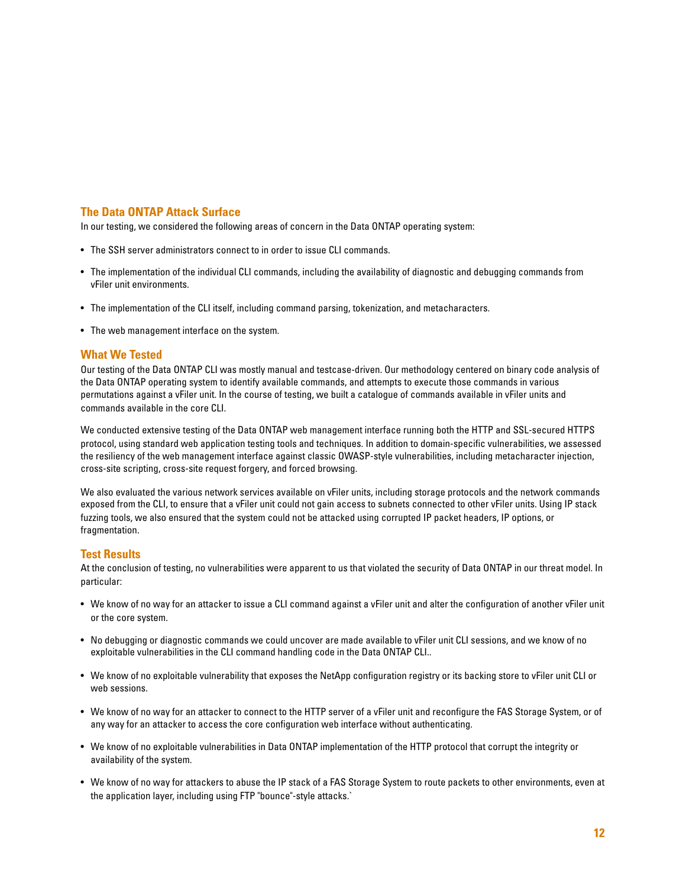#### **The Data ONTAP Attack Surface**

In our testing, we considered the following areas of concern in the Data ONTAP operating system:

- The SSH server administrators connect to in order to issue CLI commands.
- The implementation of the individual CLI commands, including the availability of diagnostic and debugging commands from vFiler unit environments.
- The implementation of the CLI itself, including command parsing, tokenization, and metacharacters.
- The web management interface on the system.

#### **What We Tested**

Our testing of the Data ONTAP CLI was mostly manual and testcase-driven. Our methodology centered on binary code analysis of the Data ONTAP operating system to identify available commands, and attempts to execute those commands in various permutations against a vFiler unit. In the course of testing, we built a catalogue of commands available in vFiler units and commands available in the core CLI.

We conducted extensive testing of the Data ONTAP web management interface running both the HTTP and SSL-secured HTTPS protocol, using standard web application testing tools and techniques. In addition to domain-specific vulnerabilities, we assessed the resiliency of the web management interface against classic OWASP-style vulnerabilities, including metacharacter injection, cross-site scripting, cross-site request forgery, and forced browsing.

We also evaluated the various network services available on vFiler units, including storage protocols and the network commands exposed from the CLI, to ensure that a vFiler unit could not gain access to subnets connected to other vFiler units. Using IP stack fuzzing tools, we also ensured that the system could not be attacked using corrupted IP packet headers, IP options, or fragmentation.

#### **Test Results**

- We know of no way for an attacker to issue a CLI command against a vFiler unit and alter the configuration of another vFiler unit or the core system.
- No debugging or diagnostic commands we could uncover are made available to vFiler unit CLI sessions, and we know of no exploitable vulnerabilities in the CLI command handling code in the Data ONTAP CLI..
- We know of no exploitable vulnerability that exposes the NetApp configuration registry or its backing store to vFiler unit CLI or web sessions.
- We know of no way for an attacker to connect to the HTTP server of a vFiler unit and reconfigure the FAS Storage System, or of any way for an attacker to access the core configuration web interface without authenticating.
- We know of no exploitable vulnerabilities in Data ONTAP implementation of the HTTP protocol that corrupt the integrity or availability of the system.
- We know of no way for attackers to abuse the IP stack of a FAS Storage System to route packets to other environments, even at the application layer, including using FTP "bounce"-style attacks.`